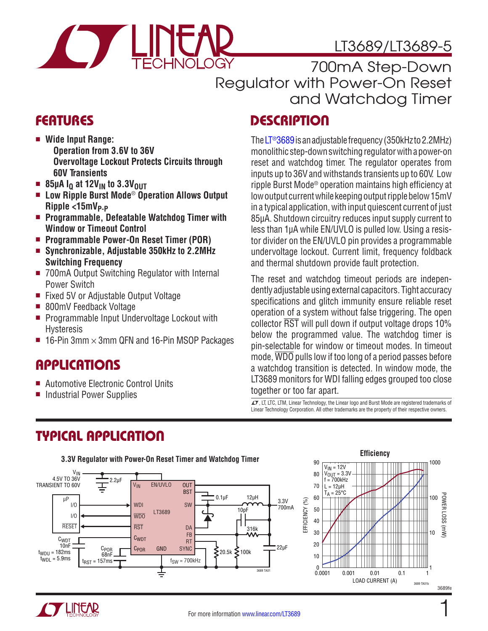

## LT3689/LT3689-5

700mA Step-Down Regulator with Power-On Reset and Watchdog Timer

### **DESCRIPTION**

The [LT®3689](http://www.linear.com/LT3689) is an adjustable frequency (350kHz to 2.2MHz) monolithic step-down switching regulator with a power-on reset and watchdog timer. The regulator operates from inputs up to 36V and withstands transients up to 60V. Low ripple Burst Mode® operation maintains high efficiency at low output current while keeping output ripple below 15mV in a typical application, with input quiescent current of just 85µA. Shutdown circuitry reduces input supply current to less than 1µA while EN/UVLO is pulled low. Using a resistor divider on the EN/UVLO pin provides a programmable undervoltage lockout. Current limit, frequency foldback and thermal shutdown provide fault protection.

The reset and watchdog timeout periods are independently adjustable using external capacitors. Tight accuracy specifications and glitch immunity ensure reliable reset operation of a system without false triggering. The open collector RST will pull down if output voltage drops 10% below the programmed value. The watchdog timer is pin-selectable for window or timeout modes. In timeout mode, WDO pulls low if too long of a period passes before a watchdog transition is detected. In window mode, the LT3689 monitors for WDI falling edges grouped too close together or too far apart.

 $\textbf{T}$ , LT, LTC, LTM, Linear Technology, the Linear logo and Burst Mode are registered trademarks of Linear Technology Corporation. All other trademarks are the property of their respective owners.

### **FEATURES**

- Wide Input Range: **Operation from 3.6V to 36V Overvoltage Lockout Protects Circuits through 60V Transients**
- $\blacksquare$  85µA I<sub>Q</sub> at 12V<sub>IN</sub> to 3.3V<sub>OUT</sub>
- Low Ripple Burst Mode<sup>®</sup> Operation Allows Output Ripple <15mV<sub>P-P</sub>
- Programmable, Defeatable Watchdog Timer with **Window or Timeout Control**
- Programmable Power-On Reset Timer (POR)
- Synchronizable, Adjustable 350kHz to 2.2MHz **Switching Frequency**
- 700mA Output Switching Regulator with Internal Power Switch
- Fixed 5V or Adjustable Output Voltage
- 800mV Feedback Voltage
- **Programmable Input Undervoltage Lockout with** Hysteresis
- **16-Pin 3mm**  $\times$  **3mm QFN and 16-Pin MSOP Packages**

### **APPLICATIONS**

- Automotive Electronic Control Units
- Industrial Power Supplies

## TYPICAL APPLICATION



#### **Efficiency** 1000 $V_{IN} = 12V$  $V_{\text{OUT}} = 3.3V$  $f = 700$ kHz  $L = 12 \mu H$  $T_A = 25^{\circ}C$ POWER LOSS (mW POWER LOSS (mW) 100 10 1 0.0001 0.001 0.01 0.1 1 LOAD CURRENT (A) 3689 TA01b



1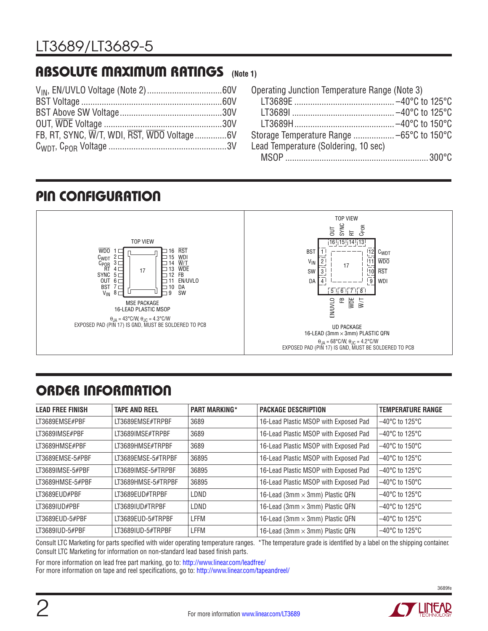#### ABSOLUTE MAXIMUM RATINGS **(Note 1)**

| FB, RT, SYNC, W/T, WDI, RST, WDO Voltage6V |  |
|--------------------------------------------|--|
|                                            |  |

| Operating Junction Temperature Range (Note 3) |  |
|-----------------------------------------------|--|
|                                               |  |
|                                               |  |
|                                               |  |
|                                               |  |
| Lead Temperature (Soldering, 10 sec)          |  |
|                                               |  |

### PIN CONFIGURATION



# ORDER INFORMATION

| <b>LEAD FREE FINISH</b> | <b>TAPE AND REEL</b> | <b>PART MARKING*</b> | <b>PACKAGE DESCRIPTION</b>             | <b>TEMPERATURE RANGE</b>            |
|-------------------------|----------------------|----------------------|----------------------------------------|-------------------------------------|
| LT3689EMSE#PBF          | LT3689EMSE#TRPBF     | 3689                 | 16-Lead Plastic MSOP with Exposed Pad  | $-40^{\circ}$ C to 125 $^{\circ}$ C |
| LT3689IMSE#PBF          | LT3689IMSE#TRPBF     | 3689                 | 16-Lead Plastic MSOP with Exposed Pad  | $-40^{\circ}$ C to 125 $^{\circ}$ C |
| LT3689HMSE#PBF          | LT3689HMSE#TRPBF     | 3689                 | 16-Lead Plastic MSOP with Exposed Pad  | $-40^{\circ}$ C to 150 $^{\circ}$ C |
| LT3689EMSE-5#PBF        | LT3689EMSE-5#TRPBF   | 36895                | 16-Lead Plastic MSOP with Exposed Pad  | $-40^{\circ}$ C to 125 $^{\circ}$ C |
| LT3689IMSE-5#PBF        | LT3689IMSE-5#TRPBF   | 36895                | 16-Lead Plastic MSOP with Exposed Pad  | $-40^{\circ}$ C to 125 $^{\circ}$ C |
| LT3689HMSE-5#PBF        | LT3689HMSE-5#TRPBF   | 36895                | 16-Lead Plastic MSOP with Exposed Pad  | $-40^{\circ}$ C to 150 $^{\circ}$ C |
| LT3689EUD#PBF           | LT3689EUD#TRPBF      | LDND                 | 16-Lead (3mm × 3mm) Plastic QFN        | $-40^{\circ}$ C to 125 $^{\circ}$ C |
| LT3689IUD#PBF           | LT3689IUD#TRPBF      | LDND                 | 16-Lead (3mm $\times$ 3mm) Plastic QFN | $-40^{\circ}$ C to 125 $^{\circ}$ C |
| LT3689EUD-5#PBF         | LT3689EUD-5#TRPBF    | LFFM                 | 16-Lead (3mm × 3mm) Plastic QFN        | $-40^{\circ}$ C to 125 $^{\circ}$ C |
| LT3689IUD-5#PBF         | LT3689IUD-5#TRPBF    | LFFM                 | 16-Lead (3mm × 3mm) Plastic QFN        | $-40^{\circ}$ C to 125 $^{\circ}$ C |

Consult LTC Marketing for parts specified with wider operating temperature ranges. \*The temperature grade is identified by a label on the shipping container. Consult LTC Marketing for information on non-standard lead based finish parts.

For more information on lead free part marking, go to: http://www.linear.com/leadfree/

For more information on tape and reel specifications, go to: http://www.linear.com/tapeandreel/

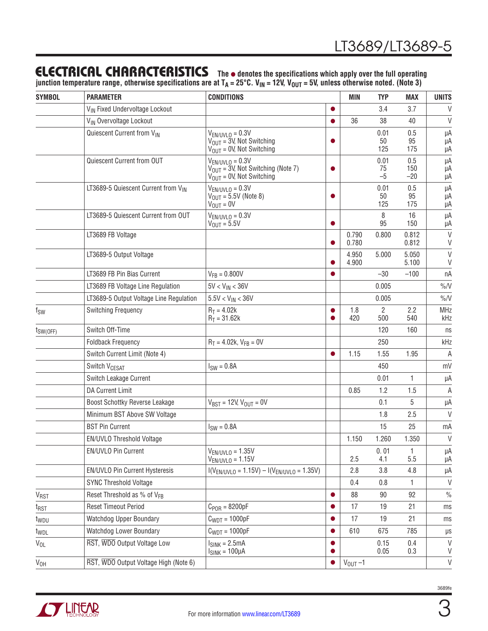### **ELECTRICAL CHARACTERISTICS** The  $\bullet$  denotes the specifications which apply over the full operating

junction temperature range, otherwise specifications are at T<sub>A</sub> = 25°C. V<sub>IN</sub> = 12V, V<sub>OUT</sub> = 5V, unless otherwise noted. (Note 3)

| <b>SYMBOL</b>    | <b>PARAMETER</b>                           | <b>CONDITIONS</b>                                                                                       |           | MIN            | <b>TYP</b>            | <b>MAX</b>          | <b>UNITS</b>      |
|------------------|--------------------------------------------|---------------------------------------------------------------------------------------------------------|-----------|----------------|-----------------------|---------------------|-------------------|
|                  | V <sub>IN</sub> Fixed Undervoltage Lockout |                                                                                                         | $\bullet$ |                | 3.4                   | 3.7                 | V                 |
|                  | VIN Overvoltage Lockout                    |                                                                                                         |           | 36             | 38                    | 40                  | V                 |
|                  | Quiescent Current from VIN                 | $V_{EN/UVLO} = 0.3V$<br>$V_{\text{OUT}} = 3V$ , Not Switching<br>$V_{\text{OUT}} = 0V$ , Not Switching  |           |                | 0.01<br>50<br>125     | 0.5<br>95<br>175    | μA<br>μA<br>μA    |
|                  | Quiescent Current from OUT                 | $V_{EN/UVLO} = 0.3V$<br>$V_{\text{OUT}}$ = 3V, Not Switching (Note 7)<br>$V_{OUT} = 0V$ , Not Switching |           |                | 0.01<br>75<br>$-5$    | 0.5<br>150<br>$-20$ | μA<br>μA<br>μA    |
|                  | LT3689-5 Quiescent Current from VIN        | $V_{EN/UVLO} = 0.3V$<br>$V_{OUT} = 5.5V$ (Note 8)<br>$V_{OUT} = 0V$                                     |           |                | 0.01<br>50<br>125     | 0.5<br>95<br>175    | μA<br>μA<br>μA    |
|                  | LT3689-5 Quiescent Current from OUT        | $V_{EN/UVLO} = 0.3V$<br>$V_{\text{OUT}} = 5.5V$                                                         | $\bullet$ |                | 8<br>95               | 16<br>150           | μA<br>μA          |
|                  | LT3689 FB Voltage                          |                                                                                                         | $\bullet$ | 0.790<br>0.780 | 0.800                 | 0.812<br>0.812      | $\vee$<br>V       |
|                  | LT3689-5 Output Voltage                    |                                                                                                         |           | 4.950<br>4.900 | 5.000                 | 5.050<br>5.100      | $\vee$<br>V       |
|                  | LT3689 FB Pin Bias Current                 | $V_{FB} = 0.800V$                                                                                       |           |                | $-30$                 | $-100$              | пA                |
|                  | LT3689 FB Voltage Line Regulation          | $5V < V_{IN} < 36V$                                                                                     |           |                | 0.005                 |                     | $\%N$             |
|                  | LT3689-5 Output Voltage Line Regulation    | $5.5V < V_{IN} < 36V$                                                                                   |           |                | 0.005                 |                     | $\%N$             |
| $f_{SW}$         | <b>Switching Frequency</b>                 | $R_T = 4.02k$<br>$R_T = 31.62k$                                                                         |           | 1.8<br>420     | $\overline{2}$<br>500 | 2.2<br>540          | <b>MHz</b><br>kHz |
| $t_{SW(OFF)}$    | Switch Off-Time                            |                                                                                                         |           |                | 120                   | 160                 | ns                |
|                  | <b>Foldback Frequency</b>                  | $R_T = 4.02k$ , $V_{FB} = 0V$                                                                           |           |                | 250                   |                     | kHz               |
|                  | Switch Current Limit (Note 4)              |                                                                                                         |           | 1.15           | 1.55                  | 1.95                | A                 |
|                  | Switch V <sub>CESAT</sub>                  | $ISW = 0.8A$                                                                                            |           |                | 450                   |                     | mV                |
|                  | Switch Leakage Current                     |                                                                                                         |           |                | 0.01                  | 1                   | μA                |
|                  | <b>DA Current Limit</b>                    |                                                                                                         |           | 0.85           | 1.2                   | 1.5                 | A                 |
|                  | Boost Schottky Reverse Leakage             | $V_{BST} = 12V, V_{OUT} = 0V$                                                                           |           |                | 0.1                   | 5                   | μA                |
|                  | Minimum BST Above SW Voltage               |                                                                                                         |           |                | 1.8                   | 2.5                 | V                 |
|                  | <b>BST Pin Current</b>                     | $ISW = 0.8A$                                                                                            |           |                | 15                    | 25                  | mA                |
|                  | EN/UVLO Threshold Voltage                  |                                                                                                         |           | 1.150          | 1.260                 | 1.350               | $\vee$            |
|                  | EN/UVLO Pin Current                        | $V_{EN/UVLO} = 1.35V$<br>$V_{EN/UVLO} = 1.15V$                                                          |           | 2.5            | 0.01<br>4.1           | 1<br>5.5            | μA<br>μA          |
|                  | EN/UVLO Pin Current Hysteresis             | $I(V_{EN/UVLO} = 1.15V) - I(V_{EN/UVLO} = 1.35V)$                                                       |           | 2.8            | 3.8                   | 4.8                 | μA                |
|                  | <b>SYNC Threshold Voltage</b>              |                                                                                                         |           | 0.4            | 0.8                   | 1                   | V                 |
| V <sub>RST</sub> | Reset Threshold as % of V <sub>FR</sub>    |                                                                                                         |           | 88             | 90                    | 92                  | $\frac{0}{0}$     |
| $t_{RST}$        | <b>Reset Timeout Period</b>                | $C_{POR} = 8200pF$                                                                                      |           | 17             | 19                    | 21                  | ms                |
| t <sub>WDU</sub> | Watchdog Upper Boundary                    | $C_{WDT} = 1000pF$                                                                                      |           | 17             | 19                    | 21                  | ms                |
| t <sub>WDL</sub> | Watchdog Lower Boundary                    | $C_{WDT} = 1000pF$                                                                                      |           | 610            | 675                   | 785                 | $\mu\text{s}$     |
| $V_{OL}$         | RST, WDO Output Voltage Low                | $ISINK = 2.5mA$<br>$I_{SINK} = 100 \mu A$                                                               |           |                | 0.15<br>0.05          | 0.4<br>0.3          | V<br>V            |
| V <sub>OH</sub>  | RST, WDO Output Voltage High (Note 6)      |                                                                                                         | $\bullet$ | $V_{OUT} - 1$  |                       |                     | $\mathsf V$       |



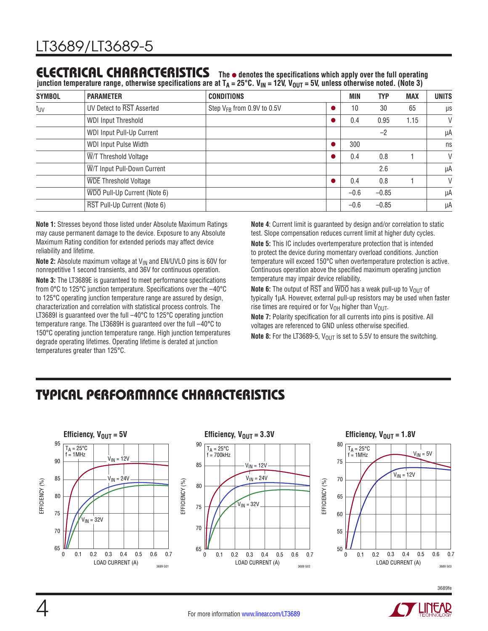### **ELECTRICAL CHARACTERISTICS** The  $\bullet$  denotes the specifications which apply over the full operating

junction temperature range, otherwise specifications are at T<sub>A</sub> = 25°C. V<sub>IN</sub> = 12V, V<sub>OUT</sub> = 5V, unless otherwise noted. (Note 3)

| <b>SYMBOL</b>   | <b>PARAMETER</b>             | <b>CONDITIONS</b>                      | <b>MIN</b> | <b>TYP</b> | <b>MAX</b> | <b>UNITS</b> |
|-----------------|------------------------------|----------------------------------------|------------|------------|------------|--------------|
| t <sub>UV</sub> | UV Detect to RST Asserted    | Step V <sub>FB</sub> from 0.9V to 0.5V | 10         | 30         | 65         | μs           |
|                 | <b>WDI Input Threshold</b>   |                                        | 0.4        | 0.95       | 1.15       | V            |
|                 | WDI Input Pull-Up Current    |                                        |            | $-2$       |            | μA           |
|                 | WDI Input Pulse Width        |                                        | 300        |            |            | ns           |
|                 | W/T Threshold Voltage        |                                        | 0.4        | 0.8        |            | $\vee$       |
|                 | W/T Input Pull-Down Current  |                                        |            | 2.6        |            | μA           |
|                 | <b>WDE Threshold Voltage</b> |                                        | 0.4        | 0.8        |            | $\vee$       |
|                 | WDO Pull-Up Current (Note 6) |                                        | $-0.6$     | $-0.85$    |            | μA           |
|                 | RST Pull-Up Current (Note 6) |                                        | $-0.6$     | $-0.85$    |            | μA           |

**Note 1:** Stresses beyond those listed under Absolute Maximum Ratings may cause permanent damage to the device. Exposure to any Absolute Maximum Rating condition for extended periods may affect device reliability and lifetime.

**Note 2:** Absolute maximum voltage at V<sub>IN</sub> and EN/UVLO pins is 60V for nonrepetitive 1 second transients, and 36V for continuous operation.

**Note 3:** The LT3689E is guaranteed to meet performance specifications from 0°C to 125°C junction temperature. Specifications over the –40°C to 125°C operating junction temperature range are assured by design, characterization and correlation with statistical process controls. The LT3689I is guaranteed over the full -40°C to 125°C operating junction temperature range. The LT3689H is guaranteed over the full –40°C to 150°C operating junction temperature range. High junction temperatures degrade operating lifetimes. Operating lifetime is derated at junction temperatures greater than 125°C.

**Note 4**: Current limit is guaranteed by design and/or correlation to static test. Slope compensation reduces current limit at higher duty cycles. **Note 5:** This IC includes overtemperature protection that is intended to protect the device during momentary overload conditions. Junction temperature will exceed 150°C when overtemperature protection is active. Continuous operation above the specified maximum operating junction temperature may impair device reliability.

**Note 6:** The output of RST and WDO has a weak pull-up to V<sub>OUT</sub> of typically 1µA. However, external pull-up resistors may be used when faster rise times are required or for  $V_{OH}$  higher than  $V_{OUT}$ .

**Note 7:** Polarity specification for all currents into pins is positive. All voltages are referenced to GND unless otherwise specified.

**Note 8:** For the LT3689-5, V<sub>OUT</sub> is set to 5.5V to ensure the switching.

## TYPICAL PERFORMANCE CHARACTERISTICS









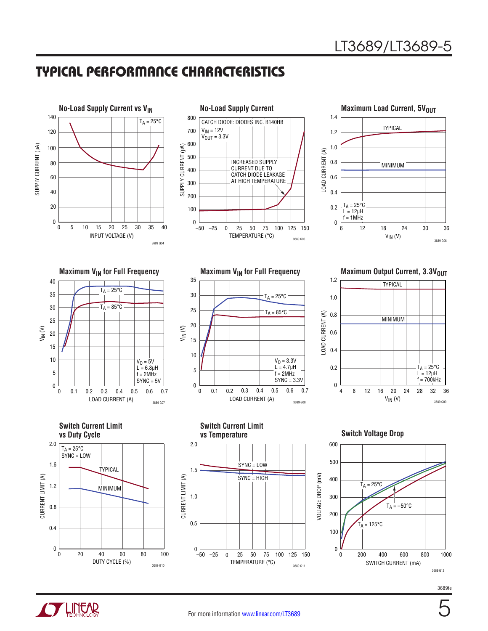

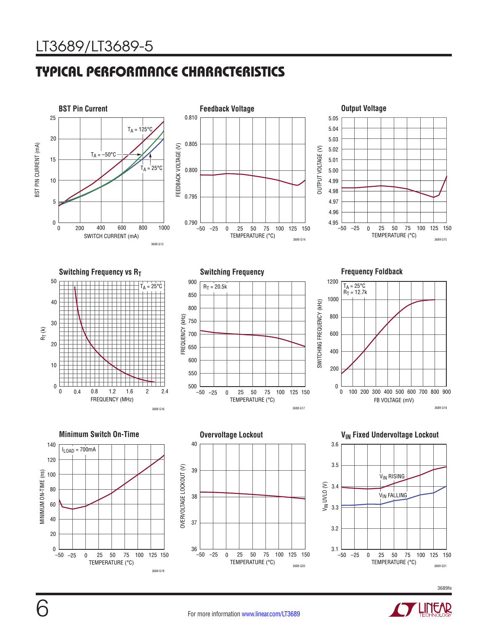

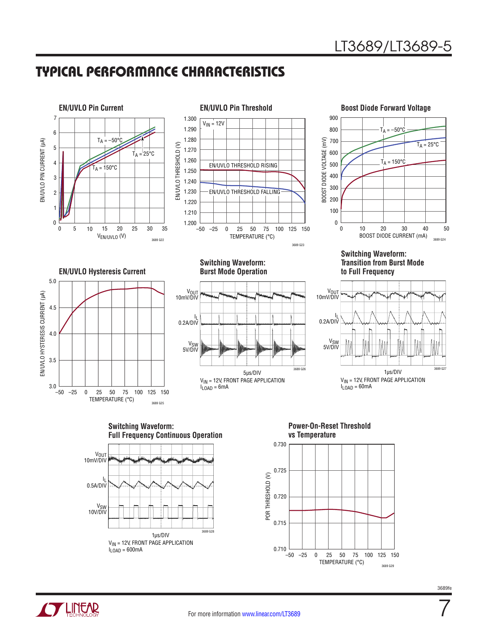



**TUNEAR** 



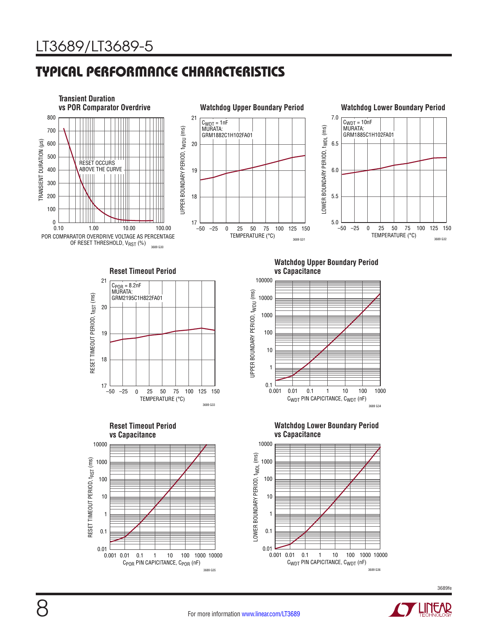

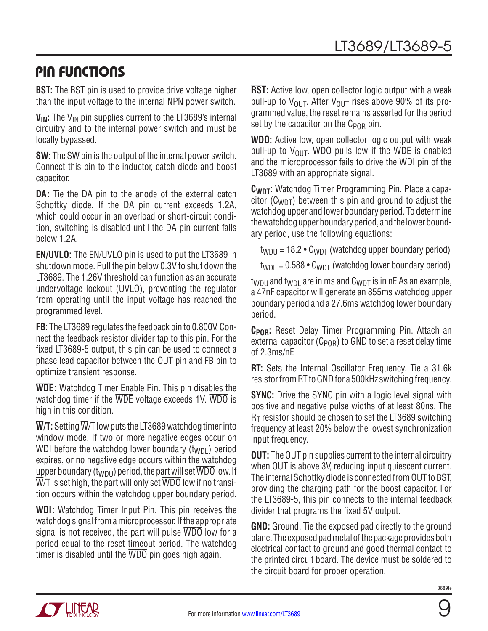## PIN FUNCTIONS

**BST:** The BST pin is used to provide drive voltage higher than the input voltage to the internal NPN power switch.

V<sub>IN</sub>: The V<sub>IN</sub> pin supplies current to the LT3689's internal circuitry and to the internal power switch and must be locally bypassed.

**SW:** The SW pin is the output of the internal power switch. Connect this pin to the inductor, catch diode and boost capacitor.

**DA:** Tie the DA pin to the anode of the external catch Schottky diode. If the DA pin current exceeds 1.2A, which could occur in an overload or short-circuit condition, switching is disabled until the DA pin current falls below 1.2A.

**EN/UVLO:** The EN/UVLO pin is used to put the LT3689 in shutdown mode. Pull the pin below 0.3V to shut down the LT3689. The 1.26V threshold can function as an accurate undervoltage lockout (UVLO), preventing the regulator from operating until the input voltage has reached the programmed level.

**FB**: The LT3689 regulates the feedback pin to 0.800V. Connect the feedback resistor divider tap to this pin. For the fixed LT3689-5 output, this pin can be used to connect a phase lead capacitor between the OUT pin and FB pin to optimize transient response.

**WDE:** Watchdog Timer Enable Pin. This pin disables the watchdog timer if the WDE voltage exceeds 1V. WDO is high in this condition.

 $\overline{\textbf{W}}$ **/T**: Setting  $\overline{\textbf{W}}$ /T low puts the LT3689 watchdog timer into window mode. If two or more negative edges occur on WDI before the watchdog lower boundary  $(t_{WDI})$  period expires, or no negative edge occurs within the watchdog upper boundary ( $t_{WDU}$ ) period, the part will set WDO low. If  $\overline{\text{W}}$ T is set high, the part will only set  $\overline{\text{WDO}}$  low if no transition occurs within the watchdog upper boundary period.

**WDI:** Watchdog Timer Input Pin. This pin receives the watchdog signal from a microprocessor. If the appropriate signal is not received, the part will pulse WDO low for a period equal to the reset timeout period. The watchdog timer is disabled until the  $\overline{WDO}$  pin goes high again.

**RST:** Active low, open collector logic output with a weak pull-up to  $V_{\text{OUT}}$ . After  $V_{\text{OUT}}$  rises above 90% of its programmed value, the reset remains asserted for the period set by the capacitor on the  $C_{POR}$  pin.

**WDO:** Active low, open collector logic output with weak pull-up to  $V_{\text{OUT}}$ . WDO pulls low if the WDE is enabled and the microprocessor fails to drive the WDI pin of the LT3689 with an appropriate signal.

**CWDT:** Watchdog Timer Programming Pin. Place a capacitor ( $C_{WDT}$ ) between this pin and ground to adjust the watchdog upper and lower boundary period. To determine the watchdog upper boundary period, and the lower boundary period, use the following equations:

 $t_{WDII}$  = 18.2 •  $C_{WDT}$  (watchdog upper boundary period)

 $t_{WDI} = 0.588 \cdot C_{WDT}$  (watchdog lower boundary period)

 $t_{WDI}$  and  $t_{WDI}$  are in ms and  $C_{WDT}$  is in nF. As an example, a 47nF capacitor will generate an 855ms watchdog upper boundary period and a 27.6ms watchdog lower boundary period.

**CPOR:** Reset Delay Timer Programming Pin. Attach an external capacitor ( $C_{POR}$ ) to GND to set a reset delay time of 2.3ms/nF.

**RT:** Sets the Internal Oscillator Frequency. Tie a 31.6k resistor from RT to GND for a 500kHz switching frequency.

**SYNC:** Drive the SYNC pin with a logic level signal with positive and negative pulse widths of at least 80ns. The  $R<sub>T</sub>$  resistor should be chosen to set the LT3689 switching frequency at least 20% below the lowest synchronization input frequency.

**OUT:** The OUT pin supplies current to the internal circuitry when OUT is above 3V, reducing input quiescent current. The internal Schottky diode is connected from OUT to BST, providing the charging path for the boost capacitor. For the LT3689-5, this pin connects to the internal feedback divider that programs the fixed 5V output.

**GND:** Ground. Tie the exposed pad directly to the ground plane. The exposed pad metal of the package provides both electrical contact to ground and good thermal contact to the printed circuit board. The device must be soldered to the circuit board for proper operation.

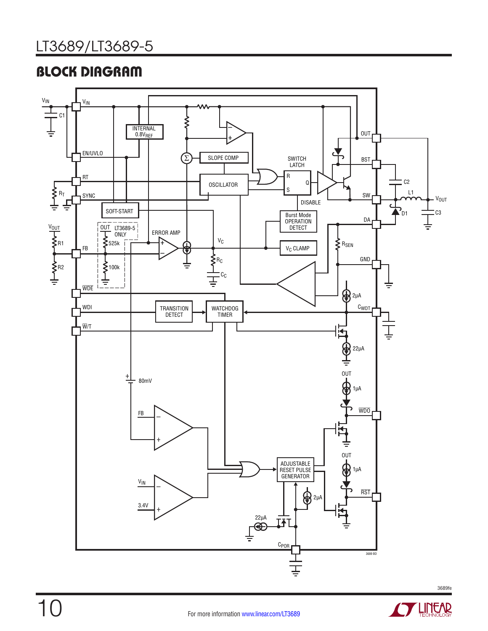# BLOCK DIAGRAM







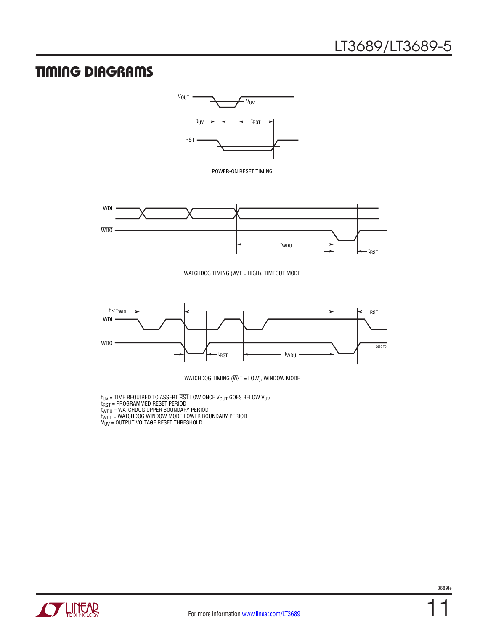### TIMING DIAGRAMS



POWER-ON RESET TIMING



WATCHDOG TIMING ( $\overline{W}/T$  = HIGH), TIMEOUT MODE



WATCHDOG TIMING ( $\overline{W}/T$  = LOW), WINDOW MODE

 $\rm t_{UV}$  = TIME REQUIRED TO ASSERT RST LOW ONCE V $\rm _{OUT}$  GOES BELOW V $\rm _{UV}$ t<sub>RST</sub> = PROGRAMMED RESET PERIOD

t<sub>WDU</sub> = WATCHDOG UPPER BOUNDARY PERIOD

t<sub>WDL</sub> = WATCHDOG WINDOW MODE LOWER BOUNDARY PERIOD

V<sub>UV</sub> = OUTPUT VOLTAGE RESET THRESHOLD

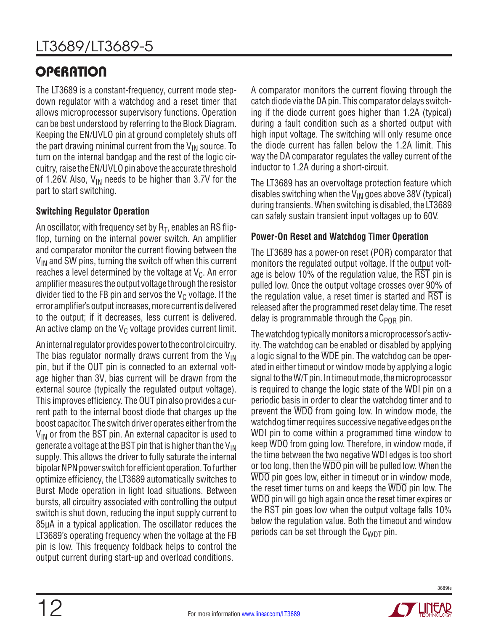# **OPERATION**

The LT3689 is a constant-frequency, current mode stepdown regulator with a watchdog and a reset timer that allows microprocessor supervisory functions. Operation can be best understood by referring to the Block Diagram. Keeping the EN/UVLO pin at ground completely shuts off the part drawing minimal current from the  $V_{IN}$  source. To turn on the internal bandgap and the rest of the logic circuitry, raise the EN/UVLO pin above the accurate threshold of 1.26V. Also,  $V_{IN}$  needs to be higher than 3.7V for the part to start switching.

#### **Switching Regulator Operation**

An oscillator, with frequency set by  $R_T$ , enables an RS flipflop, turning on the internal power switch. An amplifier and comparator monitor the current flowing between the  $V_{IN}$  and SW pins, turning the switch off when this current reaches a level determined by the voltage at  $V_c$ . An error amplifier measures the output voltage through the resistor divider tied to the FB pin and servos the  $V<sub>C</sub>$  voltage. If the error amplifier's output increases, more current is delivered to the output; if it decreases, less current is delivered. An active clamp on the  $V_C$  voltage provides current limit.

An internal regulator provides power to the control circuitry. The bias regulator normally draws current from the  $V_{\text{IN}}$ pin, but if the OUT pin is connected to an external voltage higher than 3V, bias current will be drawn from the external source (typically the regulated output voltage). This improves efficiency. The OUT pin also provides a current path to the internal boost diode that charges up the boost capacitor. The switch driver operates either from the  $V_{IN}$  or from the BST pin. An external capacitor is used to generate a voltage at the BST pin that is higher than the V<sub>IN</sub> supply. This allows the driver to fully saturate the internal bipolar NPN power switch for efficient operation. To further optimize efficiency, the LT3689 automatically switches to Burst Mode operation in light load situations. Between bursts, all circuitry associated with controlling the output switch is shut down, reducing the input supply current to 85µA in a typical application. The oscillator reduces the LT3689's operating frequency when the voltage at the FB pin is low. This frequency foldback helps to control the output current during start-up and overload conditions.

A comparator monitors the current flowing through the catch diode via the DA pin. This comparator delays switching if the diode current goes higher than 1.2A (typical) during a fault condition such as a shorted output with high input voltage. The switching will only resume once the diode current has fallen below the 1.2A limit. This way the DA comparator regulates the valley current of the inductor to 1.2A during a short-circuit.

The LT3689 has an overvoltage protection feature which disables switching when the  $V_{IN}$  goes above 38V (typical) during transients. When switching is disabled, the LT3689 can safely sustain transient input voltages up to 60V.

#### **Power-On Reset and Watchdog Timer Operation**

The LT3689 has a power-on reset (POR) comparator that monitors the regulated output voltage. If the output voltage is below 10% of the regulation value, the RST pin is pulled low. Once the output voltage crosses over 90% of the regulation value, a reset timer is started and RST is released after the programmed reset delay time. The reset delay is programmable through the  $C_{POR}$  pin.

The watchdog typically monitors a microprocessor's activity. The watchdog can be enabled or disabled by applying a logic signal to the WDE pin. The watchdog can be operated in either timeout or window mode by applying a logic signal to the  $\overline{W}/T$  pin. In timeout mode, the microprocessor is required to change the logic state of the WDI pin on a periodic basis in order to clear the watchdog timer and to prevent the WDO from going low. In window mode, the watchdog timer requires successive negative edges on the WDI pin to come within a programmed time window to keep WDO from going low. Therefore, in window mode, if the time between the two negative WDI edges is too short or too long, then the WDO pin will be pulled low. When the WDO pin goes low, either in timeout or in window mode, the reset timer turns on and keeps the WDO pin low. The WDO pin will go high again once the reset timer expires or the RST pin goes low when the output voltage falls 10% below the regulation value. Both the timeout and window periods can be set through the  $C_{WDT}$  pin.

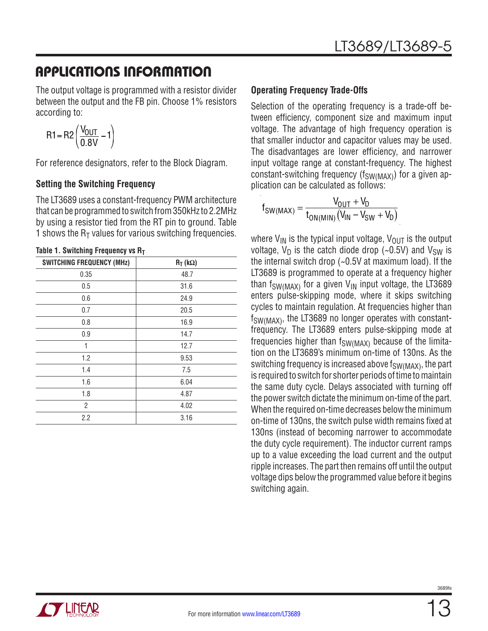The output voltage is programmed with a resistor divider between the output and the FB pin. Choose 1% resistors according to:

$$
R1 = R2 \left( \frac{V_{OUT}}{0.8V} - 1 \right)
$$

For reference designators, refer to the Block Diagram.

#### **Setting the Switching Frequency**

The LT3689 uses a constant-frequency PWM architecture that can be programmed to switch from 350kHz to 2.2MHz by using a resistor tied from the RT pin to ground. Table 1 shows the  $R<sub>T</sub>$  values for various switching frequencies.

| <b>SWITCHING FREQUENCY (MHz)</b> | $R_T$ (kΩ) |  |  |  |
|----------------------------------|------------|--|--|--|
| 0.35                             | 48.7       |  |  |  |
| 0.5                              | 31.6       |  |  |  |
| 0.6                              | 24.9       |  |  |  |
| 0.7                              | 20.5       |  |  |  |
| 0.8                              | 16.9       |  |  |  |
| 0.9                              | 14.7       |  |  |  |
| 1                                | 12.7       |  |  |  |
| 1.2                              | 9.53       |  |  |  |
| 1.4                              | 7.5        |  |  |  |
| 1.6                              | 6.04       |  |  |  |
| 1.8                              | 4.87       |  |  |  |
| 2                                | 4.02       |  |  |  |
| 2.2                              | 3.16       |  |  |  |

#### **Table 1. Switching Frequency vs RT**

#### **Operating Frequency Trade-Offs**

Selection of the operating frequency is a trade-off between efficiency, component size and maximum input voltage. The advantage of high frequency operation is that smaller inductor and capacitor values may be used. The disadvantages are lower efficiency, and narrower input voltage range at constant-frequency. The highest constant-switching frequency ( $f_{SW(MAX)}$ ) for a given application can be calculated as follows:

$$
f_{SW(MAX)} = \frac{V_{OUT} + V_D}{t_{ON(MIN)}(V_{IN} - V_{SW} + V_D)}
$$

where  $V_{IN}$  is the typical input voltage,  $V_{OUT}$  is the output voltage,  $V_D$  is the catch diode drop (~0.5V) and  $V_{SW}$  is the internal switch drop (~0.5V at maximum load). If the LT3689 is programmed to operate at a frequency higher than f<sub>SW(MAX)</sub> for a given  $V_{IN}$  input voltage, the LT3689 enters pulse-skipping mode, where it skips switching cycles to maintain regulation. At frequencies higher than f<sub>SW(MAX)</sub>, the LT3689 no longer operates with constantfrequency. The LT3689 enters pulse-skipping mode at frequencies higher than  $f_{SW(MAX)}$  because of the limitation on the LT3689's minimum on-time of 130ns. As the switching frequency is increased above  $f_{SW(MAX)}$ , the part is required to switch for shorter periods of time to maintain the same duty cycle. Delays associated with turning off the power switch dictate the minimum on-time of the part. When the required on-time decreases below the minimum on-time of 130ns, the switch pulse width remains fixed at 130ns (instead of becoming narrower to accommodate the duty cycle requirement). The inductor current ramps up to a value exceeding the load current and the output ripple increases. The part then remains off until the output voltage dips below the programmed value before it begins switching again.

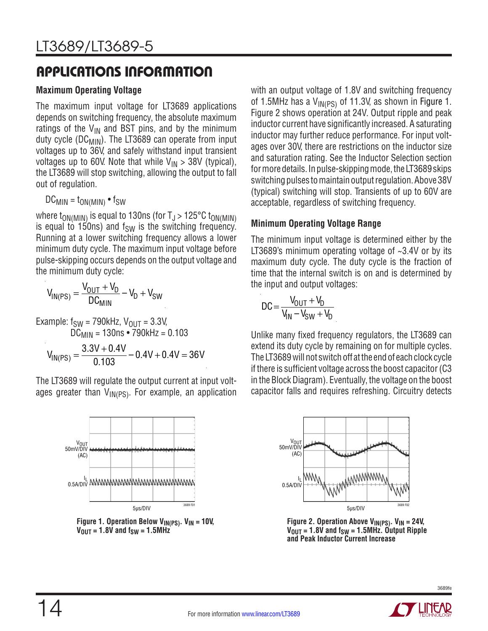#### **Maximum Operating Voltage**

The maximum input voltage for LT3689 applications depends on switching frequency, the absolute maximum ratings of the  $V_{IN}$  and BST pins, and by the minimum duty cycle (DC<sub>MIN</sub>). The LT3689 can operate from input voltages up to 36V, and safely withstand input transient voltages up to 60V. Note that while  $V_{IN} > 38V$  (typical), the LT3689 will stop switching, allowing the output to fall out of regulation.

 $DC_{MIN} = t_{ON(MIN)} \cdot f_{SW}$ 

where  $t_{ON(MIN)}$  is equal to 130ns (for  $T_J > 125^{\circ}C$   $t_{ON(MIN)}$ is equal to  $150$ ns) and  $f_{SW}$  is the switching frequency. Running at a lower switching frequency allows a lower minimum duty cycle. The maximum input voltage before pulse-skipping occurs depends on the output voltage and the minimum duty cycle:

$$
V_{IN(PS)} = \frac{V_{OUT} + V_D}{DC_{MIN}} - V_D + V_{SW}
$$

Example:  $f_{SW}$  = 790kHz,  $V_{OUT}$  = 3.3V,  $DC_{MIN} = 130$ ns • 790kHz = 0.103  $V_{\text{IN(PS)}} = \frac{3.3V + 0.4V}{0.103} - 0.4V + 0.4V = 36V$ 

The LT3689 will regulate the output current at input voltages greater than  $V_{\text{IN(PS)}}$ . For example, an application



14

Figure 1. Operation Below V<sub>IN(PS)</sub>. V<sub>IN</sub> = 10V,  $V_{\text{OUT}} = 1.8V$  and  $f_{\text{SW}} = 1.5MHz$ 

with an output voltage of 1.8V and switching frequency of 1.5MHz has a  $V_{\text{IN(PS)}}$  of 11.3V, as shown in Figure 1. Figure 2 shows operation at 24V. Output ripple and peak inductor current have significantly increased. A saturating inductor may further reduce performance. For input voltages over 30V, there are restrictions on the inductor size and saturation rating. See the Inductor Selection section for more details. In pulse-skipping mode, the LT3689 skips switching pulses to maintain output regulation. Above 38V (typical) switching will stop. Transients of up to 60V are acceptable, regardless of switching frequency.

#### **Minimum Operating Voltage Range**

The minimum input voltage is determined either by the LT3689's minimum operating voltage of ~3.4V or by its maximum duty cycle. The duty cycle is the fraction of time that the internal switch is on and is determined by the input and output voltages:

$$
DC = \frac{V_{OUT} + V_D}{V_{IN} - V_{SW} + V_D}
$$

Unlike many fixed frequency regulators, the LT3689 can extend its duty cycle by remaining on for multiple cycles. The LT3689 will not switch off at the end of each clock cycle if there is sufficient voltage across the boost capacitor (C3 in the Block Diagram). Eventually, the voltage on the boost capacitor falls and requires refreshing. Circuitry detects



Figure 2. Operation Above V<sub>IN(PS)</sub>. V<sub>IN</sub> = 24V,  $V_{\text{OUT}} = 1.8V$  and  $f_{\text{SW}} = 1.5MHz$ . Output Ripple **and Peak Inductor Current Increase**

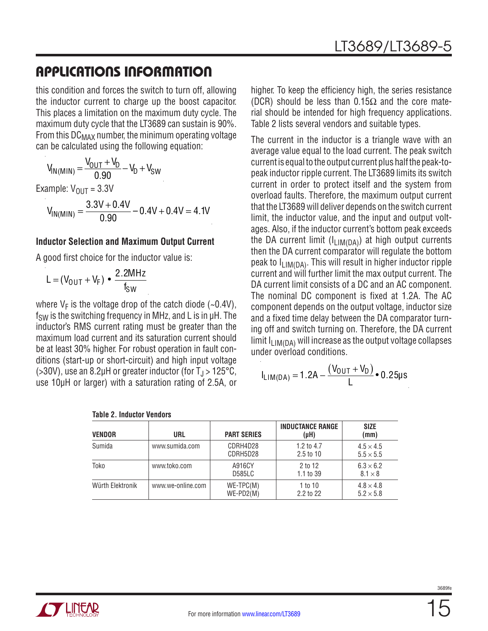this condition and forces the switch to turn off, allowing the inductor current to charge up the boost capacitor. This places a limitation on the maximum duty cycle. The maximum duty cycle that the LT3689 can sustain is 90%. From this  $DC_{MAX}$  number, the minimum operating voltage can be calculated using the following equation:

$$
V_{IN(M1N)} = \frac{V_{OUT} + V_D}{0.90} - V_D + V_{SW}
$$

Example:  $V_{OUIT} = 3.3V$ 

$$
V_{IN(MIN)} = \frac{3.3V + 0.4V}{0.90} - 0.4V + 0.4V = 4.1V
$$

#### **Inductor Selection and Maximum Output Current**

A good first choice for the inductor value is:

$$
L = (V_{\text{OUT}} + V_{\text{F}}) \bullet \frac{2.2 \text{MHz}}{f_{\text{SW}}}
$$

where  $V_F$  is the voltage drop of the catch diode (~0.4V),  $f<sub>SW</sub>$  is the switching frequency in MHz, and L is in  $\mu$ H. The inductor's RMS current rating must be greater than the maximum load current and its saturation current should be at least 30% higher. For robust operation in fault conditions (start-up or short-circuit) and high input voltage ( $>30V$ ), use an 8.2µH or greater inductor (for T<sub>J</sub> $>125^{\circ}$ C, use 10µH or larger) with a saturation rating of 2.5A, or higher. To keep the efficiency high, the series resistance (DCR) should be less than  $0.15\Omega$  and the core material should be intended for high frequency applications. Table 2 lists several vendors and suitable types.

The current in the inductor is a triangle wave with an average value equal to the load current. The peak switch current is equal to the output current plus half the peak-topeak inductor ripple current. The LT3689 limits its switch current in order to protect itself and the system from overload faults. Therefore, the maximum output current that the LT3689 will deliver depends on the switch current limit, the inductor value, and the input and output voltages. Also, if the inductor current's bottom peak exceeds the DA current limit  $(I_{LIM(DA)})$  at high output currents then the DA current comparator will regulate the bottom peak to  $I_{LIM(DA)}$ . This will result in higher inductor ripple current and will further limit the max output current. The DA current limit consists of a DC and an AC component. The nominal DC component is fixed at 1.2A. The AC component depends on the output voltage, inductor size and a fixed time delay between the DA comparator turning off and switch turning on. Therefore, the DA current limit  $I_{LIM(DA)}$  will increase as the output voltage collapses under overload conditions.

$$
I_{LIM(DA)} = 1.2A - \frac{(V_{OUT} + V_D)}{L} \cdot 0.25 \mu s
$$

| VENDOR           | <b>URL</b>        | <b>PART SERIES</b>         | <b>INDUCTANCE RANGE</b><br>$(\mu H)$ | <b>SIZE</b><br>(mm)                  |
|------------------|-------------------|----------------------------|--------------------------------------|--------------------------------------|
| Sumida           | www.sumida.com    | CDRH4D28<br>CDRH5D28       | 1.2 to $4.7$<br>$2.5$ to 10          | $4.5 \times 4.5$<br>$5.5 \times 5.5$ |
| Toko             | www.toko.com      | A916CY<br><b>D585LC</b>    | 2 to 12<br>1.1 to 39                 | $6.3 \times 6.2$<br>$8.1 \times 8$   |
| Würth Elektronik | www.we-online.com | $WE-TPC(M)$<br>$WE-PD2(M)$ | 1 to 10<br>2.2 to 22                 | $4.8 \times 4.8$<br>$5.2 \times 5.8$ |

| <b>Table 2. Inductor Vendors</b> |  |
|----------------------------------|--|
|                                  |  |



3689f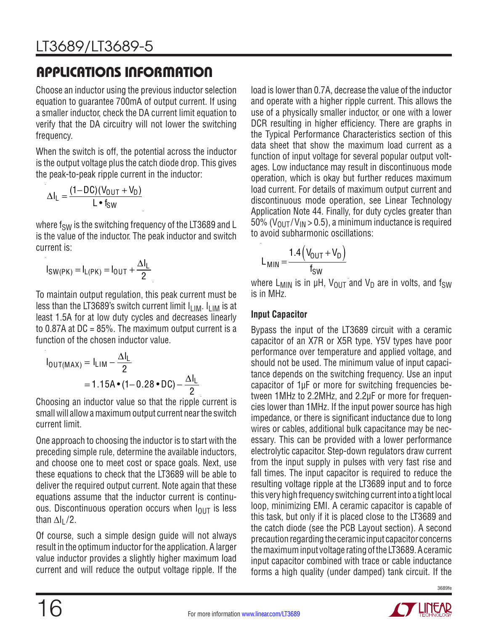Choose an inductor using the previous inductor selection equation to guarantee 700mA of output current. If using a smaller inductor, check the DA current limit equation to verify that the DA circuitry will not lower the switching frequency.

When the switch is off, the potential across the inductor is the output voltage plus the catch diode drop. This gives the peak-to-peak ripple current in the inductor:

$$
\Delta I_{L} = \frac{(1 - DC)(V_{OUT} + V_{D})}{L \cdot f_{SW}}
$$

where  $f_{SW}$  is the switching frequency of the LT3689 and L is the value of the inductor. The peak inductor and switch current is:

$$
I_{SW(PK)} = I_{L(PK)} = I_{OUT} + \frac{\Delta I_L}{2}
$$

To maintain output regulation, this peak current must be less than the LT3689's switch current limit  $I_{LIM}$ .  $I_{LIM}$  is at least 1.5A for at low duty cycles and decreases linearly to  $0.87A$  at DC =  $85\%$ . The maximum output current is a function of the chosen inductor value.

$$
I_{\text{OUT}(MAX)} = I_{\text{LIM}} - \frac{\Delta I_{\text{L}}}{2}
$$
  
= 1.15A • (1-0.28 • DC) -  $\frac{\Delta I_{\text{L}}}{2}$ 

Choosing an inductor value so that the ripple current is small will allow a maximum output current near the switch current limit.

One approach to choosing the inductor is to start with the preceding simple rule, determine the available inductors, and choose one to meet cost or space goals. Next, use these equations to check that the LT3689 will be able to deliver the required output current. Note again that these equations assume that the inductor current is continuous. Discontinuous operation occurs when  $I<sub>OUT</sub>$  is less than  $\Delta I_1/2$ .

Of course, such a simple design guide will not always result in the optimum inductor for the application. A larger value inductor provides a slightly higher maximum load current and will reduce the output voltage ripple. If the load is lower than 0.7A, decrease the value of the inductor and operate with a higher ripple current. This allows the use of a physically smaller inductor, or one with a lower DCR resulting in higher efficiency. There are graphs in the Typical Performance Characteristics section of this data sheet that show the maximum load current as a function of input voltage for several popular output voltages. Low inductance may result in discontinuous mode operation, which is okay but further reduces maximum load current. For details of maximum output current and discontinuous mode operation, see Linear Technology Application Note 44. Finally, for duty cycles greater than 50% ( $V_{\text{OUT}}/V_{\text{IN}} > 0.5$ ), a minimum inductance is required to avoid subharmonic oscillations:

$$
L_{MIN} = \frac{1.4 (V_{OUT} + V_D)}{f_{SW}}
$$

where  $L_{MIN}$  is in  $\mu$ H,  $V_{OUT}$  and  $V_D$  are in volts, and f<sub>SW</sub> is in MHz.

#### **Input Capacitor**

Bypass the input of the LT3689 circuit with a ceramic capacitor of an X7R or X5R type. Y5V types have poor performance over temperature and applied voltage, and should not be used. The minimum value of input capacitance depends on the switching frequency. Use an input capacitor of 1µF or more for switching frequencies between 1MHz to 2.2MHz, and 2.2µF or more for frequencies lower than 1MHz. If the input power source has high impedance, or there is significant inductance due to long wires or cables, additional bulk capacitance may be necessary. This can be provided with a lower performance electrolytic capacitor. Step-down regulators draw current from the input supply in pulses with very fast rise and fall times. The input capacitor is required to reduce the resulting voltage ripple at the LT3689 input and to force this very high frequency switching current into a tight local loop, minimizing EMI. A ceramic capacitor is capable of this task, but only if it is placed close to the LT3689 and the catch diode (see the PCB Layout section). A second precaution regarding the ceramic input capacitor concerns the maximum input voltage rating of the LT3689. A ceramic input capacitor combined with trace or cable inductance forms a high quality (under damped) tank circuit. If the

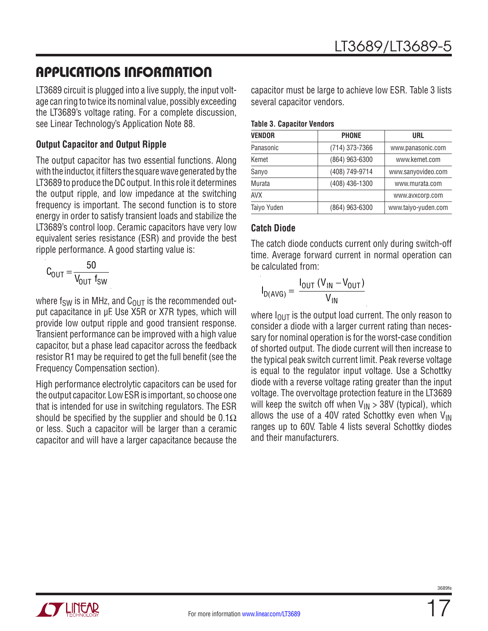LT3689 circuit is plugged into a live supply, the input voltage can ring to twice its nominal value, possibly exceeding the LT3689's voltage rating. For a complete discussion, see Linear Technology's Application Note 88.

#### **Output Capacitor and Output Ripple**

The output capacitor has two essential functions. Along with the inductor, it filters the square wave generated by the LT3689 to produce the DC output. In this role it determines the output ripple, and low impedance at the switching frequency is important. The second function is to store energy in order to satisfy transient loads and stabilize the LT3689's control loop. Ceramic capacitors have very low equivalent series resistance (ESR) and provide the best ripple performance. A good starting value is:

$$
C_{\text{OUT}} = \frac{50}{V_{\text{OUT}} \ f_{\text{SW}}}
$$

where  $f_{SW}$  is in MHz, and  $C_{OUT}$  is the recommended output capacitance in µF. Use X5R or X7R types, which will provide low output ripple and good transient response. Transient performance can be improved with a high value capacitor, but a phase lead capacitor across the feedback resistor R1 may be required to get the full benefit (see the Frequency Compensation section).

High performance electrolytic capacitors can be used for the output capacitor. Low ESR is important, so choose one that is intended for use in switching regulators. The ESR should be specified by the supplier and should be 0.1 $\Omega$ or less. Such a capacitor will be larger than a ceramic capacitor and will have a larger capacitance because the

capacitor must be large to achieve low ESR. Table 3 lists several capacitor vendors.

| <b>VENDOR</b> | <b>PHONE</b>   | <b>URL</b>          |
|---------------|----------------|---------------------|
| Panasonic     | (714) 373-7366 | www.panasonic.com   |
| Kemet         | (864) 963-6300 | www.kemet.com       |
| Sanyo         | (408) 749-9714 | www.sanyovideo.com  |
| Murata        | (408) 436-1300 | www.murata.com      |
| <b>AVX</b>    |                | www.avxcorp.com     |
| Taiyo Yuden   | (864) 963-6300 | www.taiyo-yuden.com |

#### **Catch Diode**

The catch diode conducts current only during switch-off time. Average forward current in normal operation can be calculated from:

$$
I_{D(AVG)} = \frac{I_{OUT} (V_{IN} - V_{OUT})}{V_{IN}}
$$

where  $I_{\text{OUT}}$  is the output load current. The only reason to consider a diode with a larger current rating than necessary for nominal operation is for the worst-case condition of shorted output. The diode current will then increase to the typical peak switch current limit. Peak reverse voltage is equal to the regulator input voltage. Use a Schottky diode with a reverse voltage rating greater than the input voltage. The overvoltage protection feature in the LT3689 will keep the switch off when  $V_{IN} > 38V$  (typical), which allows the use of a 40V rated Schottky even when  $V_{IN}$ ranges up to 60V. Table 4 lists several Schottky diodes and their manufacturers.

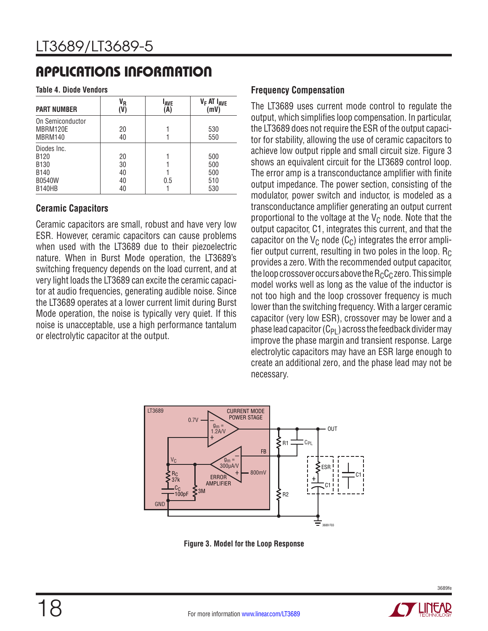**Table 4. Diode Vendors**

| <b>PART NUMBER</b>                                                                                        | V <sub>R</sub><br>(V)      | <b>LAVE</b><br>(A) | V <sub>F</sub> AT I <sub>AVE</sub><br>(mV) |
|-----------------------------------------------------------------------------------------------------------|----------------------------|--------------------|--------------------------------------------|
| On Semiconductor<br>MBRM120E<br>MBRM140                                                                   | 20<br>40                   |                    | 530<br>550                                 |
| Diodes Inc.<br>B <sub>120</sub><br>B <sub>130</sub><br>B <sub>140</sub><br><b>B0540W</b><br><b>B140HB</b> | 20<br>30<br>40<br>40<br>40 | 0.5                | 500<br>500<br>500<br>510<br>530            |

#### **Ceramic Capacitors**

Ceramic capacitors are small, robust and have very low ESR. However, ceramic capacitors can cause problems when used with the LT3689 due to their piezoelectric nature. When in Burst Mode operation, the LT3689's switching frequency depends on the load current, and at very light loads the LT3689 can excite the ceramic capacitor at audio frequencies, generating audible noise. Since the LT3689 operates at a lower current limit during Burst Mode operation, the noise is typically very quiet. If this noise is unacceptable, use a high performance tantalum or electrolytic capacitor at the output.

#### **Frequency Compensation**

The LT3689 uses current mode control to regulate the output, which simplifies loop compensation. In particular, the LT3689 does not require the ESR of the output capacitor for stability, allowing the use of ceramic capacitors to achieve low output ripple and small circuit size. Figure 3 shows an equivalent circuit for the LT3689 control loop. The error amp is a transconductance amplifier with finite output impedance. The power section, consisting of the modulator, power switch and inductor, is modeled as a transconductance amplifier generating an output current proportional to the voltage at the  $V_C$  node. Note that the output capacitor, C1, integrates this current, and that the capacitor on the  $V_C$  node ( $C_C$ ) integrates the error amplifier output current, resulting in two poles in the loop.  $R_C$ provides a zero. With the recommended output capacitor, the loop crossover occurs above the  $R_C C_C$  zero. This simple model works well as long as the value of the inductor is not too high and the loop crossover frequency is much lower than the switching frequency. With a larger ceramic capacitor (very low ESR), crossover may be lower and a phase lead capacitor  $(C_{PI})$  across the feedback divider may improve the phase margin and transient response. Large electrolytic capacitors may have an ESR large enough to create an additional zero, and the phase lead may not be necessary.



**Figure 3. Model for the Loop Response**

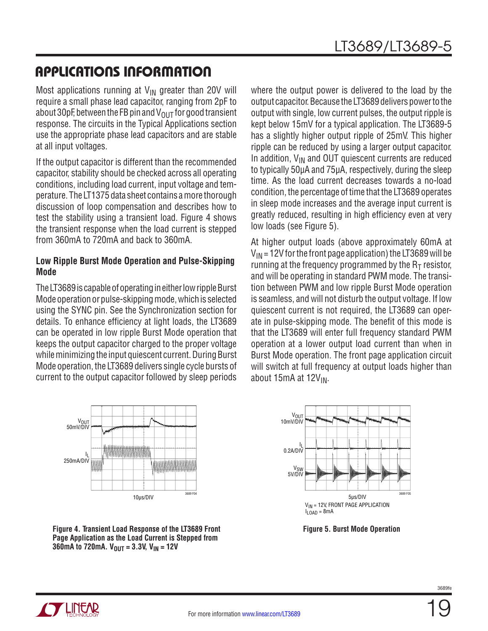Most applications running at  $V_{IN}$  greater than 20V will require a small phase lead capacitor, ranging from 2pF to about 30pF, between the FB pin and  $V_{OUT}$  for good transient response. The circuits in the Typical Applications section use the appropriate phase lead capacitors and are stable at all input voltages.

If the output capacitor is different than the recommended capacitor, stability should be checked across all operating conditions, including load current, input voltage and temperature. The LT1375 data sheet contains a more thorough discussion of loop compensation and describes how to test the stability using a transient load. Figure 4 shows the transient response when the load current is stepped from 360mA to 720mA and back to 360mA.

#### **Low Ripple Burst Mode Operation and Pulse-Skipping Mode**

The LT3689 is capable of operating in either low ripple Burst Mode operation or pulse-skipping mode, which is selected using the SYNC pin. See the Synchronization section for details. To enhance efficiency at light loads, the LT3689 can be operated in low ripple Burst Mode operation that keeps the output capacitor charged to the proper voltage while minimizing the input quiescent current. During Burst Mode operation, the LT3689 delivers single cycle bursts of current to the output capacitor followed by sleep periods

where the output power is delivered to the load by the output capacitor. Because the LT3689 delivers power to the output with single, low current pulses, the output ripple is kept below 15mV for a typical application. The LT3689-5 has a slightly higher output ripple of 25mV. This higher ripple can be reduced by using a larger output capacitor. In addition,  $V_{IN}$  and OUT quiescent currents are reduced to typically 50µA and 75µA, respectively, during the sleep time. As the load current decreases towards a no-load condition, the percentage of time that the LT3689 operates in sleep mode increases and the average input current is greatly reduced, resulting in high efficiency even at very low loads (see Figure 5).

At higher output loads (above approximately 60mA at  $V_{IN}$  = 12V for the front page application) the LT3689 will be running at the frequency programmed by the  $R<sub>T</sub>$  resistor, and will be operating in standard PWM mode. The transition between PWM and low ripple Burst Mode operation is seamless, and will not disturb the output voltage. If low quiescent current is not required, the LT3689 can operate in pulse-skipping mode. The benefit of this mode is that the LT3689 will enter full frequency standard PWM operation at a lower output load current than when in Burst Mode operation. The front page application circuit will switch at full frequency at output loads higher than about 15mA at 12V<sub>IN</sub>.



**Figure 4. Transient Load Response of the LT3689 Front Page Application as the Load Current is Stepped from 360mA to 720mA.**  $V_{OUT} = 3.3V$ ,  $V_{IN} = 12V$ 



**Figure 5. Burst Mode Operation**

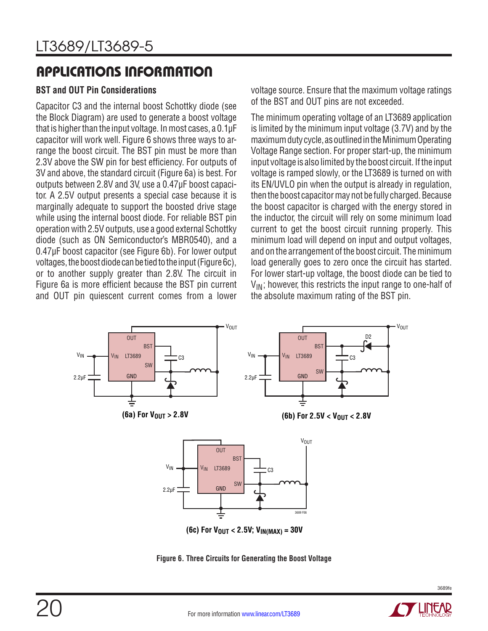#### **BST and OUT Pin Considerations**

Capacitor C3 and the internal boost Schottky diode (see the Block Diagram) are used to generate a boost voltage that is higher than the input voltage. In most cases, a 0.1µF capacitor will work well. Figure 6 shows three ways to arrange the boost circuit. The BST pin must be more than 2.3V above the SW pin for best efficiency. For outputs of 3V and above, the standard circuit (Figure 6a) is best. For outputs between 2.8V and 3V, use a 0.47µF boost capacitor. A 2.5V output presents a special case because it is marginally adequate to support the boosted drive stage while using the internal boost diode. For reliable BST pin operation with 2.5V outputs, use a good external Schottky diode (such as ON Semiconductor's MBR0540), and a 0.47µF boost capacitor (see Figure 6b). For lower output voltages, the boost diode can be tied to the input (Figure 6c), or to another supply greater than 2.8V. The circuit in Figure 6a is more efficient because the BST pin current and OUT pin quiescent current comes from a lower

voltage source. Ensure that the maximum voltage ratings of the BST and OUT pins are not exceeded.

The minimum operating voltage of an LT3689 application is limited by the minimum input voltage (3.7V) and by the maximum duty cycle, as outlined in the Minimum Operating Voltage Range section. For proper start-up, the minimum input voltage is also limited by the boost circuit. If the input voltage is ramped slowly, or the LT3689 is turned on with its EN/UVLO pin when the output is already in regulation, then the boost capacitor may not be fully charged. Because the boost capacitor is charged with the energy stored in the inductor, the circuit will rely on some minimum load current to get the boost circuit running properly. This minimum load will depend on input and output voltages, and on the arrangement of the boost circuit. The minimum load generally goes to zero once the circuit has started. For lower start-up voltage, the boost diode can be tied to  $V_{IN}$ ; however, this restricts the input range to one-half of the absolute maximum rating of the BST pin.



**Figure 6. Three Circuits for Generating the Boost Voltage**

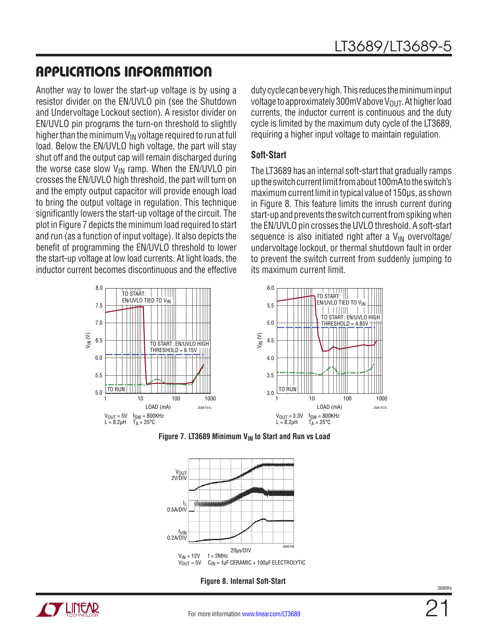Another way to lower the start-up voltage is by using a resistor divider on the EN/UVLO pin (see the Shutdown and Undervoltage Lockout section). A resistor divider on EN/UVLO pin programs the turn-on threshold to slightly higher than the minimum  $V_{IN}$  voltage required to run at full load. Below the EN/UVLO high voltage, the part will stay shut off and the output cap will remain discharged during the worse case slow  $V_{IN}$  ramp. When the EN/UVLO pin crosses the EN/UVLO high threshold, the part will turn on and the empty output capacitor will provide enough load to bring the output voltage in regulation. This technique significantly lowers the start-up voltage of the circuit. The plot in Figure 7 depicts the minimum load required to start and run (as a function of input voltage). It also depicts the benefit of programming the EN/UVLO threshold to lower the start-up voltage at low load currents. At light loads, the inductor current becomes discontinuous and the effective

duty cycle can be very high. This reduces the minimum input voltage to approximately 300mV above  $V_{OUT}$ . At higher load currents, the inductor current is continuous and the duty cycle is limited by the maximum duty cycle of the LT3689, requiring a higher input voltage to maintain regulation.

#### **Soft-Start**

The LT3689 has an internal soft-start that gradually ramps up the switch current limit from about 100mA to the switch's maximum current limit in typical value of 150µs, as shown in Figure 8. This feature limits the inrush current during start-up and prevents the switch current from spiking when the EN/UVLO pin crosses the UVLO threshold. A soft-start sequence is also initiated right after a  $V_{IN}$  overvoltage/ undervoltage lockout, or thermal shutdown fault in order to prevent the switch current from suddenly jumping to its maximum current limit.







**Figure 8. Internal Soft-Start**

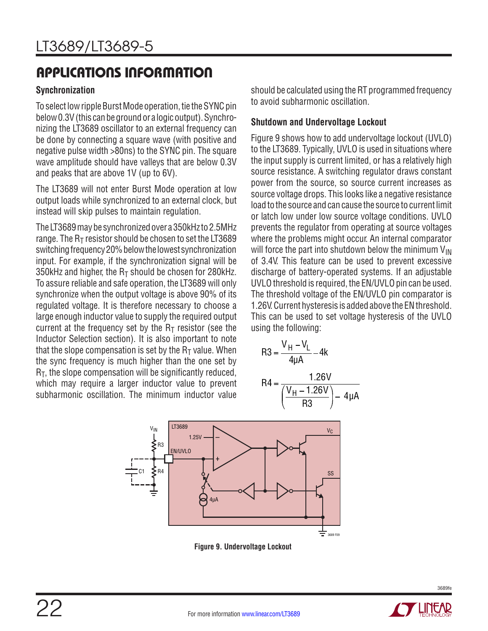#### **Synchronization**

To select low ripple Burst Mode operation, tie the SYNC pin below 0.3V (this can be ground or a logic output). Synchronizing the LT3689 oscillator to an external frequency can be done by connecting a square wave (with positive and negative pulse width >80ns) to the SYNC pin. The square wave amplitude should have valleys that are below 0.3V and peaks that are above 1V (up to 6V).

The LT3689 will not enter Burst Mode operation at low output loads while synchronized to an external clock, but instead will skip pulses to maintain regulation.

The LT3689 may be synchronized over a 350kHz to 2.5MHz range. The  $R<sub>T</sub>$  resistor should be chosen to set the LT3689 switching frequency 20% below the lowest synchronization input. For example, if the synchronization signal will be 350kHz and higher, the  $R<sub>T</sub>$  should be chosen for 280kHz. To assure reliable and safe operation, the LT3689 will only synchronize when the output voltage is above 90% of its regulated voltage. It is therefore necessary to choose a large enough inductor value to supply the required output current at the frequency set by the  $R<sub>T</sub>$  resistor (see the Inductor Selection section). It is also important to note that the slope compensation is set by the  $R<sub>T</sub>$  value. When the sync frequency is much higher than the one set by  $R<sub>T</sub>$ , the slope compensation will be significantly reduced, which may require a larger inductor value to prevent subharmonic oscillation. The minimum inductor value

should be calculated using the RT programmed frequency to avoid subharmonic oscillation.

#### **Shutdown and Undervoltage Lockout**

Figure 9 shows how to add undervoltage lockout (UVLO) to the LT3689. Typically, UVLO is used in situations where the input supply is current limited, or has a relatively high source resistance. A switching regulator draws constant power from the source, so source current increases as source voltage drops. This looks like a negative resistance load to the source and can cause the source to current limit or latch low under low source voltage conditions. UVLO prevents the regulator from operating at source voltages where the problems might occur. An internal comparator will force the part into shutdown below the minimum  $V_{IN}$ of 3.4V. This feature can be used to prevent excessive discharge of battery-operated systems. If an adjustable UVLO threshold is required, the EN/UVLO pin can be used. The threshold voltage of the EN/UVLO pin comparator is 1.26V. Current hysteresis is added above the EN threshold. This can be used to set voltage hysteresis of the UVLO using the following:

$$
R3 = \frac{V_H - V_L}{4\mu A} - 4k
$$

$$
R4 = \frac{1.26V}{\left(\frac{V_H - 1.26V}{R3}\right) - 4\mu A}
$$



**Figure 9. Undervoltage Lockout**

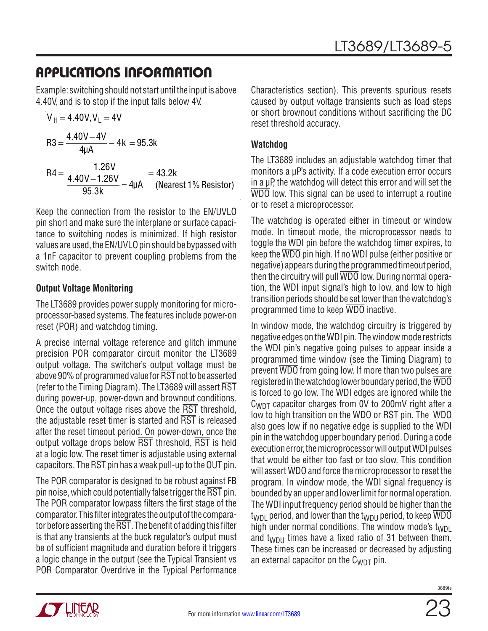Example: switching should not start until the input is above 4.40V, and is to stop if the input falls below 4V.

$$
V_{H} = 4.40V, V_{L} = 4V
$$
  
R3 =  $\frac{4.40V - 4V}{4\mu A} - 4k = 95.3k$   
R4 =  $\frac{1.26V}{\frac{4.40V - 1.26V}{95.3k} - 4\mu A} = 43.2k$  (Nearest 1% resistor)

Keep the connection from the resistor to the EN/UVLO pin short and make sure the interplane or surface capacitance to switching nodes is minimized. If high resistor values are used, the EN/UVLO pin should be bypassed with a 1nF capacitor to prevent coupling problems from the switch node.

#### **Output Voltage Monitoring**

The LT3689 provides power supply monitoring for microprocessor-based systems. The features include power-on reset (POR) and watchdog timing.

A precise internal voltage reference and glitch immune precision POR comparator circuit monitor the LT3689 output voltage. The switcher's output voltage must be above 90% of programmed value for RST not to be asserted (refer to the Timing Diagram). The LT3689 will assert RST during power-up, power-down and brownout conditions. Once the output voltage rises above the RST threshold, the adjustable reset timer is started and  $\overline{\text{RST}}$  is released after the reset timeout period. On power-down, once the output voltage drops below RST threshold, RST is held at a logic low. The reset timer is adjustable using external capacitors. The  $\overline{\text{RST}}$  pin has a weak pull-up to the OUT pin.

The POR comparator is designed to be robust against FB pin noise, which could potentially false trigger the  $\overline{\text{RST}}$  pin. The POR comparator lowpass filters the first stage of the comparator. This filter integrates the output of the comparator before asserting the  $\overline{\text{RST}}$ . The benefit of adding this filter is that any transients at the buck regulator's output must be of sufficient magnitude and duration before it triggers a logic change in the output (see the Typical Transient vs POR Comparator Overdrive in the Typical Performance

Characteristics section). This prevents spurious resets caused by output voltage transients such as load steps or short brownout conditions without sacrificing the DC reset threshold accuracy.

#### **Watchdog**

The LT3689 includes an adjustable watchdog timer that monitors a µP's activity. If a code execution error occurs in a µP, the watchdog will detect this error and will set the WDO low. This signal can be used to interrupt a routine or to reset a microprocessor.

The watchdog is operated either in timeout or window mode. In timeout mode, the microprocessor needs to toggle the WDI pin before the watchdog timer expires, to keep the WDO pin high. If no WDI pulse (either positive or negative) appears during the programmed timeout period, then the circuitry will pull WDO low. During normal operation, the WDI input signal's high to low, and low to high transition periods should be set lower than the watchdog's programmed time to keep WDO inactive.

In window mode, the watchdog circuitry is triggered by negative edges on the WDI pin. The window mode restricts the WDI pin's negative going pulses to appear inside a programmed time window (see the Timing Diagram) to prevent WDO from going low. If more than two pulses are registered in the watchdog lower boundary period, the WDO is forced to go low. The WDI edges are ignored while the C<sub>WDT</sub> capacitor charges from 0V to 200mV right after a low to high transition on the WDO or RST pin. The WDO also goes low if no negative edge is supplied to the WDI pin in the watchdog upper boundary period. During a code execution error, the microprocessor will output WDI pulses that would be either too fast or too slow. This condition will assert  $\overline{WDO}$  and force the microprocessor to reset the program. In window mode, the WDI signal frequency is bounded by an upper and lower limit for normal operation. The WDI input frequency period should be higher than the  $t_{WDI}$  period, and lower than the  $t_{WDII}$  period, to keep  $\overline{WDO}$ high under normal conditions. The window mode's  $t_{WDL}$ and  $t_{WDII}$  times have a fixed ratio of 31 between them. These times can be increased or decreased by adjusting an external capacitor on the  $C_{WDT}$  pin.

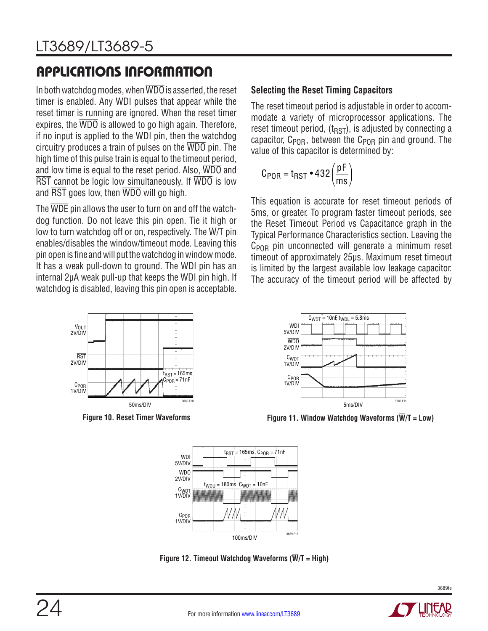In both watchdog modes, when WDO is asserted, the reset timer is enabled. Any WDI pulses that appear while the reset timer is running are ignored. When the reset timer expires, the  $\overline{WDO}$  is allowed to go high again. Therefore, if no input is applied to the WDI pin, then the watchdog circuitry produces a train of pulses on the WDO pin. The high time of this pulse train is equal to the timeout period, and low time is equal to the reset period. Also, WDO and RST cannot be logic low simultaneously. If WDO is low and RST goes low, then WDO will go high.

The WDE pin allows the user to turn on and off the watchdog function. Do not leave this pin open. Tie it high or low to turn watchdog off or on, respectively. The  $\overline{W}/T$  pin enables/disables the window/timeout mode. Leaving this pin open is fine and will put the watchdog in window mode. It has a weak pull-down to ground. The WDI pin has an internal 2µA weak pull-up that keeps the WDI pin high. If watchdog is disabled, leaving this pin open is acceptable.



#### **Selecting the Reset Timing Capacitors**

The reset timeout period is adjustable in order to accommodate a variety of microprocessor applications. The reset timeout period,  $(t_{RST})$ , is adjusted by connecting a capacitor,  $C_{POR}$ , between the  $C_{POR}$  pin and ground. The value of this capacitor is determined by:

$$
C_{POR} = t_{RST} \cdot 432 \left(\frac{pF}{ms}\right)
$$

This equation is accurate for reset timeout periods of 5ms, or greater. To program faster timeout periods, see the Reset Timeout Period vs Capacitance graph in the Typical Performance Characteristics section. Leaving the  $C_{POR}$  pin unconnected will generate a minimum reset timeout of approximately 25µs. Maximum reset timeout is limited by the largest available low leakage capacitor. The accuracy of the timeout period will be affected by



**Figure 10. Reset Timer Waveforms Figure 11. Window Watchdog Waveforms (W/T = Low)**



**Figure 12. Timeout Watchdog Waveforms (W/T = High)**

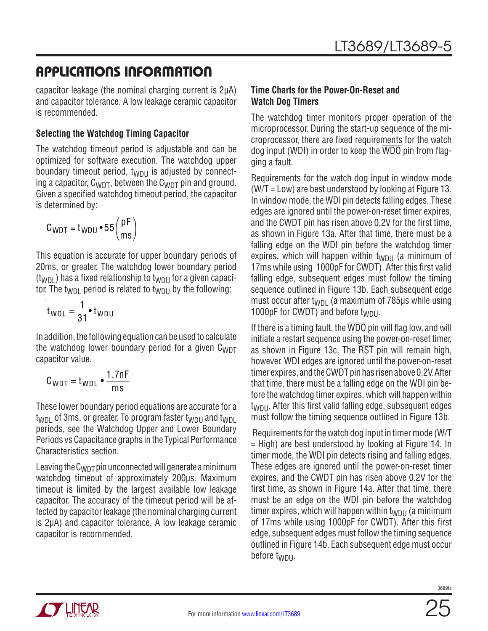capacitor leakage (the nominal charging current is 2µA) and capacitor tolerance. A low leakage ceramic capacitor is recommended.

#### **Selecting the Watchdog Timing Capacitor**

The watchdog timeout period is adjustable and can be optimized for software execution. The watchdog upper boundary timeout period,  $t_{\text{WDI}}$  is adjusted by connecting a capacitor,  $C_{WDT}$ , between the  $C_{WDT}$  pin and ground. Given a specified watchdog timeout period, the capacitor is determined by:

$$
C_{WDT} = t_{WDU} \cdot 55 \left(\frac{pF}{ms}\right)
$$

This equation is accurate for upper boundary periods of 20ms, or greater. The watchdog lower boundary period  $(t_{WDI})$  has a fixed relationship to  $t_{WDI}$  for a given capacitor. The t<sub>WDL</sub> period is related to t<sub>WDLL</sub> by the following:

$$
t_{WDL} = \frac{1}{31} \cdot t_{WDU}
$$

In addition, the following equation can be used to calculate the watchdog lower boundary period for a given  $C_{WDT}$ capacitor value.

$$
C_{WDT} = t_{WDL} \cdot \frac{1.7nF}{ms}
$$

These lower boundary period equations are accurate for a  $t_{WDI}$  of 3ms, or greater. To program faster  $t_{WDII}$  and  $t_{WDI}$ periods, see the Watchdog Upper and Lower Boundary Periods vs Capacitance graphs in the Typical Performance Characteristics section.

Leaving the  $C_{WDT}$  pin unconnected will generate a minimum watchdog timeout of approximately 200µs. Maximum timeout is limited by the largest available low leakage capacitor. The accuracy of the timeout period will be affected by capacitor leakage (the nominal charging current is 2µA) and capacitor tolerance. A low leakage ceramic capacitor is recommended.

#### **Time Charts for the Power-On-Reset and Watch Dog Timers**

The watchdog timer monitors proper operation of the microprocessor. During the start-up sequence of the microprocessor, there are fixed requirements for the watch dog input (WDI) in order to keep the WDO pin from flagging a fault.

Requirements for the watch dog input in window mode (W/T = Low) are best understood by looking at Figure 13. In window mode, the WDI pin detects falling edges. These edges are ignored until the power-on-reset timer expires, and the CWDT pin has risen above 0.2V for the first time, as shown in Figure 13a. After that time, there must be a falling edge on the WDI pin before the watchdog timer expires, which will happen within  $t_{WDII}$  (a minimum of 17ms while using 1000pF for CWDT). After this first valid falling edge, subsequent edges must follow the timing sequence outlined in Figure 13b. Each subsequent edge must occur after t<sub>WDL</sub> (a maximum of 785 $\mu$ s while using 1000pF for CWDT) and before twpu.

If there is a timing fault, the  $\overline{WDO}$  pin will flag low, and will initiate a restart sequence using the power-on-reset timer, as shown in Figure 13c. The RST pin will remain high, however. WDI edges are ignored until the power-on-reset timer expires, and the CWDT pin has risen above 0.2V. After that time, there must be a falling edge on the WDI pin before the watchdog timer expires, which will happen within t<sub>WDU</sub>. After this first valid falling edge, subsequent edges must follow the timing sequence outlined in Figure 13b.

 Requirements for the watch dog input in timer mode (W/T = High) are best understood by looking at Figure 14. In timer mode, the WDI pin detects rising and falling edges. These edges are ignored until the power-on-reset timer expires, and the CWDT pin has risen above 0.2V for the first time, as shown in Figure 14a. After that time, there must be an edge on the WDI pin before the watchdog timer expires, which will happen within  $t_{WDU}$  (a minimum of 17ms while using 1000pF for CWDT). After this first edge, subsequent edges must follow the timing sequence outlined in Figure 14b. Each subsequent edge must occur before t<sub>WDU</sub>.

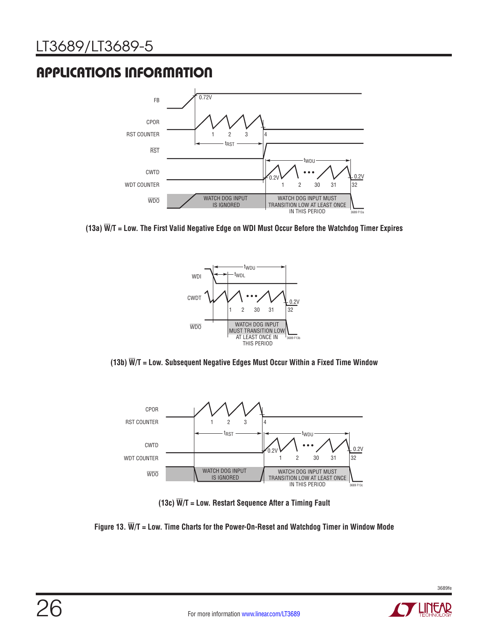## LT3689/LT3689-5

## APPLICATIONS INFORMATION



**(13a) W/T = Low. The First Valid Negative Edge on WDI Must Occur Before the Watchdog Timer Expires**







**(13c) W/T = Low. Restart Sequence After a Timing Fault**

#### **Figure 13. W/T = Low. Time Charts for the Power-On-Reset and Watchdog Timer in Window Mode**

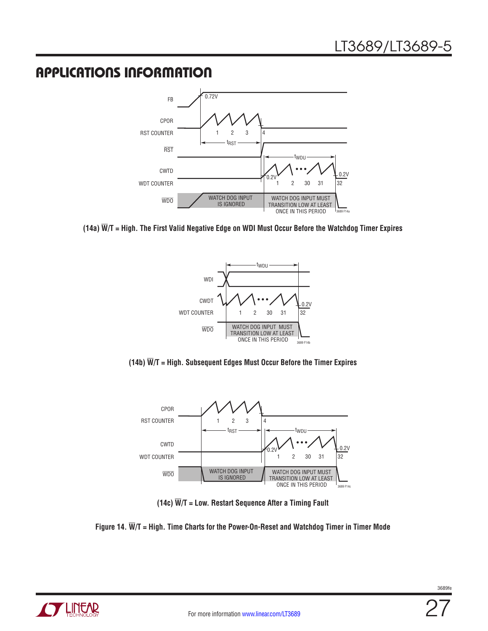

**(14a) W/T = High. The First Valid Negative Edge on WDI Must Occur Before the Watchdog Timer Expires**







**(14c) W/T = Low. Restart Sequence After a Timing Fault**

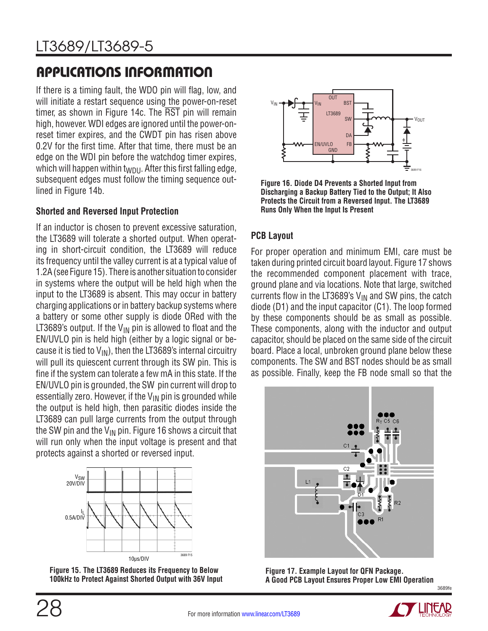If there is a timing fault, the WDO pin will flag, low, and will initiate a restart sequence using the power-on-reset timer, as shown in Figure 14c. The  $\overline{\text{RST}}$  pin will remain high, however. WDI edges are ignored until the power-onreset timer expires, and the CWDT pin has risen above 0.2V for the first time. After that time, there must be an edge on the WDI pin before the watchdog timer expires, which will happen within  $t_{WDU}$ . After this first falling edge, subsequent edges must follow the timing sequence outlined in Figure 14b.

#### **Shorted and Reversed Input Protection**

If an inductor is chosen to prevent excessive saturation, the LT3689 will tolerate a shorted output. When operating in short-circuit condition, the LT3689 will reduce its frequency until the valley current is at a typical value of 1.2A (see Figure 15). There is another situation to consider in systems where the output will be held high when the input to the LT3689 is absent. This may occur in battery charging applications or in battery backup systems where a battery or some other supply is diode ORed with the LT3689's output. If the  $V_{IN}$  pin is allowed to float and the EN/UVLO pin is held high (either by a logic signal or because it is tied to  $V_{\text{IN}}$ ), then the LT3689's internal circuitry will pull its quiescent current through its SW pin. This is fine if the system can tolerate a few mA in this state. If the EN/UVLO pin is grounded, the SW pin current will drop to essentially zero. However, if the  $V_{IN}$  pin is grounded while the output is held high, then parasitic diodes inside the LT3689 can pull large currents from the output through the SW pin and the  $V_{IN}$  pin. Figure 16 shows a circuit that will run only when the input voltage is present and that protects against a shorted or reversed input.



**Figure 15. The LT3689 Reduces its Frequency to Below 100kHz to Protect Against Shorted Output with 36V Input**

![](_page_27_Figure_7.jpeg)

**Figure 16. Diode D4 Prevents a Shorted Input from Discharging a Backup Battery Tied to the Output; It Also Protects the Circuit from a Reversed Input. The LT3689 Runs Only When the Input Is Present**

#### **PCB Layout**

For proper operation and minimum EMI, care must be taken during printed circuit board layout. Figure 17 shows the recommended component placement with trace, ground plane and via locations. Note that large, switched currents flow in the LT3689's  $V_{IN}$  and SW pins, the catch diode (D1) and the input capacitor (C1). The loop formed by these components should be as small as possible. These components, along with the inductor and output capacitor, should be placed on the same side of the circuit board. Place a local, unbroken ground plane below these components. The SW and BST nodes should be as small as possible. Finally, keep the FB node small so that the

![](_page_27_Figure_11.jpeg)

3689fe **Figure 17. Example Layout for QFN Package. A Good PCB Layout Ensures Proper Low EMI Operation**

![](_page_27_Picture_13.jpeg)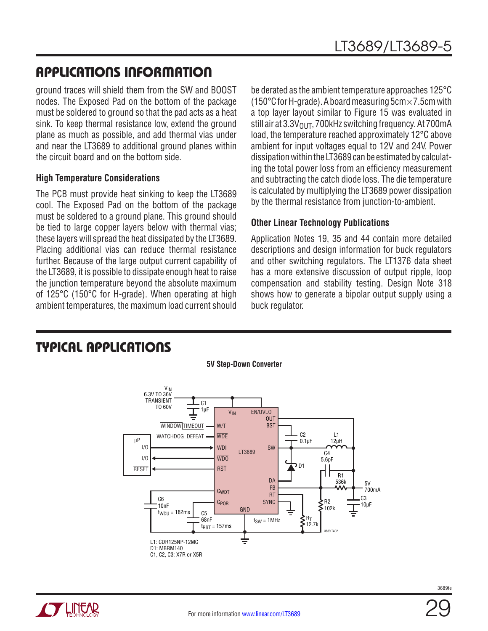ground traces will shield them from the SW and BOOST nodes. The Exposed Pad on the bottom of the package must be soldered to ground so that the pad acts as a heat sink. To keep thermal resistance low, extend the ground plane as much as possible, and add thermal vias under and near the LT3689 to additional ground planes within the circuit board and on the bottom side.

#### **High Temperature Considerations**

The PCB must provide heat sinking to keep the LT3689 cool. The Exposed Pad on the bottom of the package must be soldered to a ground plane. This ground should be tied to large copper layers below with thermal vias; these layers will spread the heat dissipated by the LT3689. Placing additional vias can reduce thermal resistance further. Because of the large output current capability of the LT3689, it is possible to dissipate enough heat to raise the junction temperature beyond the absolute maximum of 125°C (150°C for H-grade). When operating at high ambient temperatures, the maximum load current should

be derated as the ambient temperature approaches 125°C (150°C for H-grade). A board measuring  $5cm \times 7.5cm$  with a top layer layout similar to Figure 15 was evaluated in still air at  $3.3V<sub>OUT</sub>$ , 700kHz switching frequency. At 700mA load, the temperature reached approximately 12°C above ambient for input voltages equal to 12V and 24V. Power dissipation within the LT3689 can be estimated by calculating the total power loss from an efficiency measurement and subtracting the catch diode loss. The die temperature is calculated by multiplying the LT3689 power dissipation by the thermal resistance from junction-to-ambient.

#### **Other Linear Technology Publications**

Application Notes 19, 35 and 44 contain more detailed descriptions and design information for buck regulators and other switching regulators. The LT1376 data sheet has a more extensive discussion of output ripple, loop compensation and stability testing. Design Note 318 shows how to generate a bipolar output supply using a buck regulator.

### TYPICAL APPLICATIONS

![](_page_28_Figure_9.jpeg)

**TT LINEAR**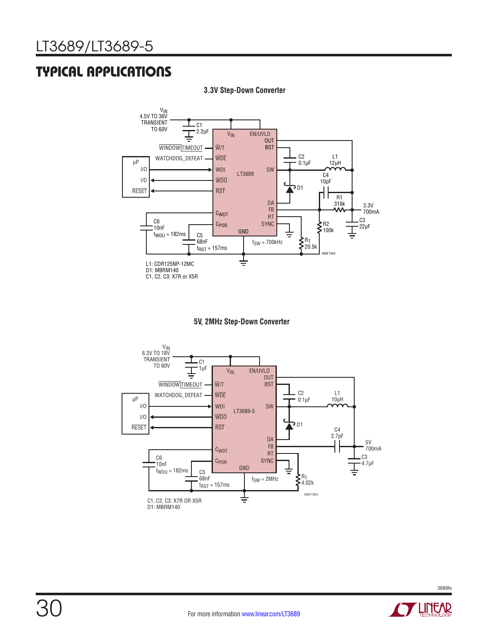### TYPICAL APPLICATIONS

![](_page_29_Figure_2.jpeg)

**3.3V Step-Down Converter**

![](_page_29_Figure_4.jpeg)

![](_page_29_Figure_5.jpeg)

![](_page_29_Picture_8.jpeg)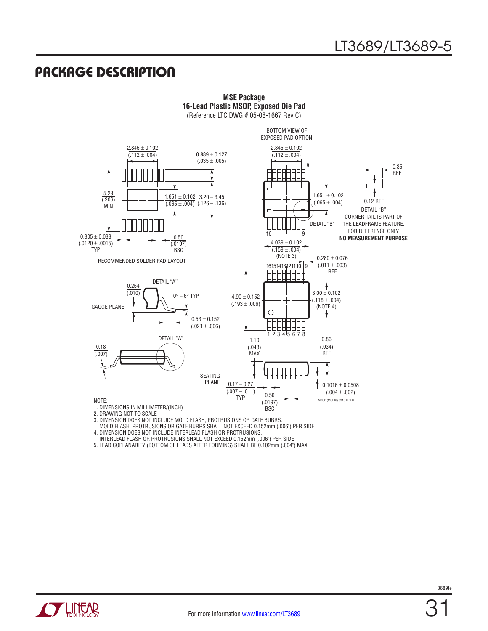### PACKAGE DESCRIPTION

![](_page_30_Figure_2.jpeg)

**MSE Package 16-Lead Plastic MSOP, Exposed Die Pad**

2. DRAWING NOT TO SCALE

3. DIMENSION DOES NOT INCLUDE MOLD FLASH, PROTRUSIONS OR GATE BURRS.

MOLD FLASH, PROTRUSIONS OR GATE BURRS SHALL NOT EXCEED 0.152mm (.006") PER SIDE

4. DIMENSION DOES NOT INCLUDE INTERLEAD FLASH OR PROTRUSIONS.

INTERLEAD FLASH OR PROTRUSIONS SHALL NOT EXCEED 0.152mm (.006") PER SIDE

5. LEAD COPLANARITY (BOTTOM OF LEADS AFTER FORMING) SHALL BE 0.102mm (.004") MAX

![](_page_30_Picture_9.jpeg)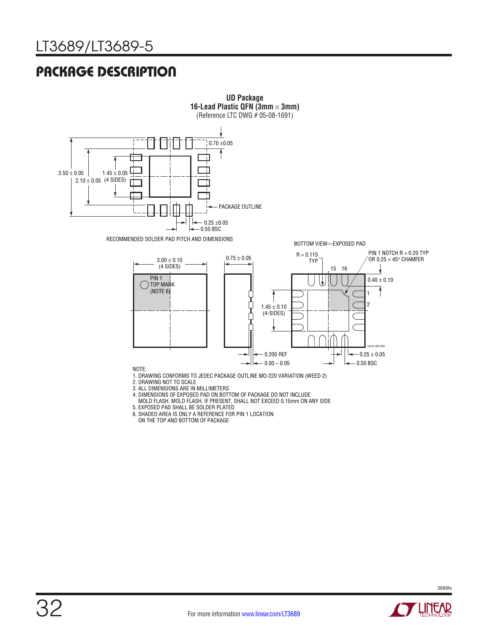### PACKAGE DESCRIPTION

![](_page_31_Figure_2.jpeg)

**UD Package**

- MOLD FLASH. MOLD FLASH, IF PRESENT, SHALL NOT EXCEED 0.15mm ON ANY SIDE
- 5. EXPOSED PAD SHALL BE SOLDER PLATED
- 6. SHADED AREA IS ONLY A REFERENCE FOR PIN 1 LOCATION
- ON THE TOP AND BOTTOM OF PACKAGE

![](_page_31_Picture_7.jpeg)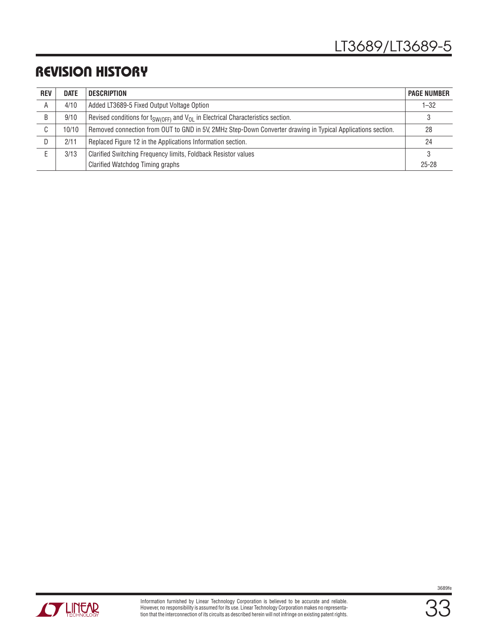### REVISION HISTORY

| <b>REV</b> | <b>DATE</b> | <b>DESCRIPTION</b>                                                                                          | <b>PAGE NUMBER</b> |
|------------|-------------|-------------------------------------------------------------------------------------------------------------|--------------------|
| A          | 4/10        | Added LT3689-5 Fixed Output Voltage Option                                                                  | $1 - 32$           |
| B          | 9/10        | Revised conditions for $t_{SW(OFF)}$ and $V_{OL}$ in Electrical Characteristics section.                    | 3                  |
| ⌒<br>U     | 10/10       | Removed connection from OUT to GND in 5V, 2MHz Step-Down Converter drawing in Typical Applications section. | 28                 |
| D          | 2/11        | Replaced Figure 12 in the Applications Information section.                                                 | 24                 |
|            | 3/13        | Clarified Switching Frequency limits, Foldback Resistor values                                              | 3                  |
|            |             | Clarified Watchdog Timing graphs                                                                            | $25 - 28$          |

![](_page_32_Picture_3.jpeg)